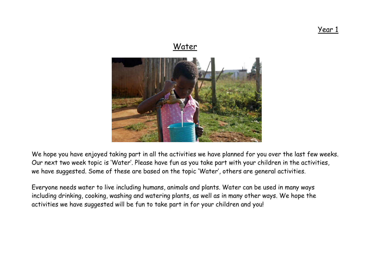Year 1

# **Water**

We hope you have enjoyed taking part in all the activities we have planned for you over the last few weeks. Our next two week topic is 'Water'. Please have fun as you take part with your children in the activities, we have suggested. Some of these are based on the topic 'Water', others are general activities.

Everyone needs water to live including humans, animals and plants. Water can be used in many ways including drinking, cooking, washing and watering plants, as well as in many other ways. We hope the activities we have suggested will be fun to take part in for your children and you!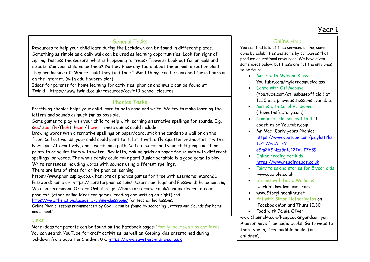# General Tasks

Resources to help your child learn during the Lockdown can be found in different places. Something as simple as a daily walk can be used as learning opportunities. Look for signs of Spring. Discuss the seasons, what is happening to trees? Flowers? Look out for animals and insects. Can your child name them? Do they know any facts about the animal, insect or plant they are looking at? Where could they find facts? Most things can be searched for in books or on the internet. (with adult supervision)

Ideas for parents for home learning for activities, phonics and music can be found at: Twinkl – <https://www.twinkl.co.uk/resources/covid19-school-closures>

## Phonics Tasks

Practising phonics helps your child learn to both read and write. We try to make learning the letters and sounds as much fun as possible.

Some games to play with your child to help with learning alternative spellings for sounds. E.g. see/ sea, fly/flight, hear / here. These games could include:

Drawing words with alternative spellings on paper/card, stick the cards to a wall or on the floor. Call out words, your child could point to it, hit it with a fly squatter or shoot at it with a Nerf gun. Alternatively, chalk words on a path. Call out words and your child jumps on them, points to or squirt them with water. Play lotto, making grids on paper for sounds with different spellings, or words. The whole family could take part! Junior scrabble is a good game to play. Write sentences including words with sounds using different spellings.

There are lots of sites for online phonics learning.

the code is CVDTWINKLHELPS in Code is CVDTWINKLHELPS in Code is CVDTWINKLHELPS in Code

[https://www.phonicsplay.co.uk](https://www.phonicsplay.co.uk/) has lots of phonics games for free with username: March20 Password: home or <https://monsterphonics.com/>Username: login and Password: homelearning. We also recommend Oxford Owl at [https://home.oxfordowl.co.uk/reading/learn-to-read](https://home.oxfordowl.co.uk/reading/learn-to-read-phonics/)[phonics/](https://home.oxfordowl.co.uk/reading/learn-to-read-phonics/) (other online ideas for games, reading and writing on right) and <https://www.thenational.academy/online-classroom/> for teacher led lessons.

Online Phonic lessons recommended by Gov.Uk can be found by searching 'Letters and Sounds for home and school.'

#### Links

More ideas for parents can be found on the Facebook pages: 'Family lockdown tips and ideas' You can search YouTube for craft activities, as well as Keeping kids entertained during lockdown from Save the Children UK. [https://www.savethechildren.org.uk](https://www.savethechildren.org.uk/)

# Online Help

You can find lots of free services online, some done by celebrities and some by companies that produce educational resources. We have given some ideas below, but these are not the only ones to be found.

- Music with Myleene Klass You.tube.com/myleenesmusicclass
- Dance with Oti Mabuse -(You.tube.com/otimabuseofficial) at 11.30 a.m. previous sessions available.
- Maths with Carol Vorderman (themathsfactory.com)
- Numberblocks series 1 to 4 at cbeebies or You.tube.com
- Mr Mac- Early years Phonics [https://www.youtube.com/playlist?lis](https://www.youtube.com/playlist?list=PLWee7c-xY-eSm2hSNzz5r1L12IxUI7b89) [t=PLWee7c-xY](https://www.youtube.com/playlist?list=PLWee7c-xY-eSm2hSNzz5r1L12IxUI7b89)[eSm2hSNzz5r1L12IxUI7b89](https://www.youtube.com/playlist?list=PLWee7c-xY-eSm2hSNzz5r1L12IxUI7b89)
- Online reading for kids [https://www.readingeggs.co.uk](https://www.readingeggs.co.uk/)
- Fairy tales and stories for 5 year olds [www.audible.co.uk](http://www.audible.co.uk/)
- Stories with David Walliams worldofdavidwalliams.com
- [www.Storylineonline.net](http://www.storylineonline.net/)
- Art with Simon Hetherington on Facebook Mon and Thurs 10.30
- Food with Jamie Oliver [www.Channel4.com/keepcookingandcarryon](http://www.channel4.com/keepcookingandcarryon) Amazon have free audio books. Go to website then type in, 'free audible books for children'.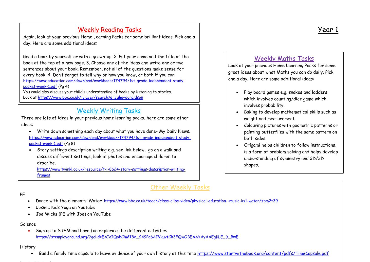# Weekly Reading Tasks Year 1

Again, look at your previous Home Learning Packs for some brilliant ideas. Pick one a day. Here are some additional ideas:

Read a book by yourself or with a grown-up. 2. Put your name and the title of the book at the top of a new page. 3. Choose one of the ideas and write one or two sentences about your book. Remember, not all of the questions make sense for every book. 4. Don't forget to tell why or how you know, or both if you can! [https://www.education.com/download/workbook/174794/1st-grade-independent-study](https://www.education.com/download/workbook/174794/1st-grade-independent-study-packet-week-1.pdf)[packet-week-1.pdf](https://www.education.com/download/workbook/174794/1st-grade-independent-study-packet-week-1.pdf) (Pg 4)

You could also discuss your child's understanding of books by listening to stories. Look at<https://www.bbc.co.uk/iplayer/search?q=Julia+donaldson>

# Weekly Writing Tasks

There are lots of ideas in your previous home learning packs, here are some other ideas:

- Write down something each day about what you have done- My Daily News. [https://www.education.com/download/workbook/174794/1st-grade-independent-study](https://www.education.com/download/workbook/174794/1st-grade-independent-study-packet-week-1.pdf)[packet-week-1.pdf](https://www.education.com/download/workbook/174794/1st-grade-independent-study-packet-week-1.pdf) (Pg 8)
- Story settings description writing e.g. see link below, go on a walk and discuss different settings, look at photos and encourage children to describe.

[https://www.twinkl.co.uk/resource/t-l-8624-story-settings-description-writing](https://www.twinkl.co.uk/resource/t-l-8624-story-settings-description-writing-frames)[frames](https://www.twinkl.co.uk/resource/t-l-8624-story-settings-description-writing-frames)

# Other Weekly Tasks

#### PE

- Dance with the elements 'Water' <https://www.bbc.co.uk/teach/class-clips-video/physical-education--music-ks1-water/zbm2t39>
- Cosmic Kids Yoga on Youtube
- Joe Wicks (PE with Joe) on YouTube

#### Science

• Sign up to STEM and have fun exploring the different activities [https://stemplayground.org/?gclid=EAIaIQobChMI8d\\_G49Pq6AIVkuvtCh3FQwOBEAAYAyAAEgKLE\\_D\\_BwE](https://stemplayground.org/?gclid=EAIaIQobChMI8d_G49Pq6AIVkuvtCh3FQwOBEAAYAyAAEgKLE_D_BwE)

#### History

. Build a family time capsule to leave evidence of your own history at this time<https://www.startwithabook.org/content/pdfs/TimeCapsule.pdf>

#### design the contract of the contract of the contract of the contract of the contract of the contract of the contract of the contract of the contract of the contract of the contract of the contract of the contract of the con

# Weekly Maths Tasks

Look at your previous Home Learning Packs for some great ideas about what Maths you can do daily. Pick one a day. Here are some additional ideas:

- Play board games e.g. snakes and ladders which involves counting/dice game which involves probability.
- Baking to develop mathematical skills such as weight and measurement.
- Colouring pictures with geometric patterns or painting butterflies with the same pattern on both sides.
- Origami helps children to follow instructions, is a form of problem solving and helps develop understanding of symmetry and 2D/3D shapes.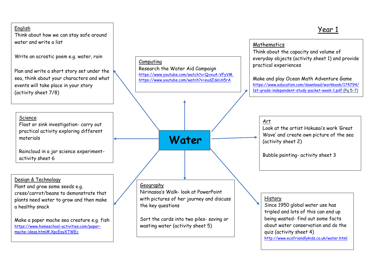#### English Year 1 Think about how we can stay safe around water and write a list Write an acrostic poem e.g. water, rain Plan and write a short story set under the sea, think about your characters and what events will take place in your story (activity sheet 7/8) Computing Research the Water Aid Campaign <https://www.youtube.com/watch?v=QvxuA-VFyVM> <https://www.youtube.com/watch?v=eudZdeUn5rA>  **Water** Mathematics Think about the capacity and volume of everyday objects (activity sheet 1) and provide practical experiences Make and play Ocean Math Adventure Game [https://www.education.com/download/workbook/174794/](https://www.education.com/download/workbook/174794/1st-grade-independent-study-packet-week-1.pdf) [1st-grade-independent-study-packet-week-1.pdf](https://www.education.com/download/workbook/174794/1st-grade-independent-study-packet-week-1.pdf) (Pg 5-7) Art Look at the artist Hokusai's work 'Great Wave' and create own picture of the sea (activity sheet 2) Bubble painting- activity sheet 3 History Since 1950 global water use has tripled and lots of this can end up being wasted- find out some facts about water conservation and do the quiz (activity sheet 4) **Geography** Nirinasoa's Walk- look at PowerPoint with pictures of her journey and discuss the key questions Sort the cards into two piles- saving or wasting water (activity sheet 5) Design & Technology Plant and grow some seeds e.g. cress/carrot/beans to demonstrate that plants need water to grow and then make a healthy snack Make a paper mache sea creature e.g. fish [https://www.homeschool-activities.com/paper-](https://www.homeschool-activities.com/paper-mache-ideas.html#.XpcEayXTWEc)Science Float or sink investigation- carry out practical activity exploring different materials Raincloud in a jar science experimentactivity sheet 6

<http://www.ecofriendlykids.co.uk/water.html>

[mache-ideas.html#.XpcEayXTWEc](https://www.homeschool-activities.com/paper-mache-ideas.html#.XpcEayXTWEc)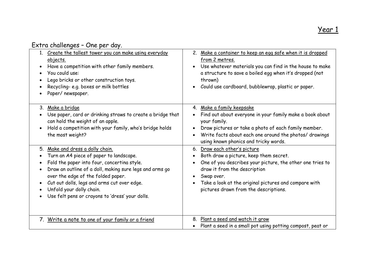# Extra challenges – One per day.

| 1. Create the tallest tower you can make using everyday<br>objects.<br>Have a competition with other family members.<br>You could use:<br>$\bullet$<br>Lego bricks or other construction toys.<br>Recycling- e.g. boxes or milk bottles<br>Paper/newspaper.                                                                                                                                                                                | Make a container to keep an egg safe when it is dropped<br>2.<br>from 2 metres.<br>Use whatever materials you can find in the house to make<br>a structure to save a boiled egg when it's dropped (not<br>thrown)<br>Could use cardboard, bubblewrap, plastic or paper.             |
|--------------------------------------------------------------------------------------------------------------------------------------------------------------------------------------------------------------------------------------------------------------------------------------------------------------------------------------------------------------------------------------------------------------------------------------------|-------------------------------------------------------------------------------------------------------------------------------------------------------------------------------------------------------------------------------------------------------------------------------------|
| 3. Make a bridge<br>Use paper, card or drinking straws to create a bridge that<br>$\bullet$<br>can hold the weight of an apple.<br>Hold a competition with your family, who's bridge holds<br>$\bullet$<br>the most weight?                                                                                                                                                                                                                | 4. Make a family keepsake<br>Find out about everyone in your family make a book about<br>your family.<br>Draw pictures or take a photo of each family member.<br>Write facts about each one around the photos/ drawings<br>using known phonics and tricky words.                    |
| Make and dress a dolly chain.<br>5.<br>Turn an A4 piece of paper to landscape.<br>$\bullet$<br>Fold the paper into four, concertina style.<br>$\bullet$<br>Draw an outline of a doll, making sure legs and arms go<br>$\bullet$<br>over the edge of the folded paper.<br>Cut out dolls, legs and arms cut over edge.<br>$\bullet$<br>Unfold your dolly chain.<br>$\bullet$<br>Use felt pens or crayons to 'dress' your dolls.<br>$\bullet$ | 6. Draw each other's picture<br>Both draw a picture, keep them secret.<br>One of you describes your picture, the other one tries to<br>draw it from the description<br>Swap over.<br>Take a look at the original pictures and compare with<br>pictures drawn from the descriptions. |
| 7. Write a note to one of your family or a friend                                                                                                                                                                                                                                                                                                                                                                                          | Plant a seed and watch it grow<br>8.<br>Plant a seed in a small pot using potting compost, peat or                                                                                                                                                                                  |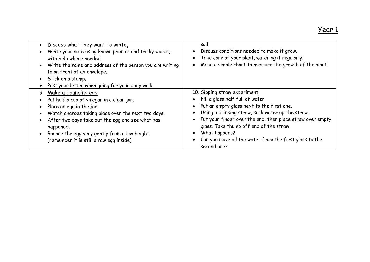|           | • Discuss what they want to write.<br>Write your note using known phonics and tricky words,<br>with help where needed.<br>• Write the name and address of the person you are writing<br>to on front of an envelope.<br>• Stick on a stamp.<br>• Post your letter when going for your daily walk. | soil.<br>Discuss conditions needed to make it grow.<br>Take care of your plant, watering it regularly.<br>Make a simple chart to measure the growth of the plant. |
|-----------|--------------------------------------------------------------------------------------------------------------------------------------------------------------------------------------------------------------------------------------------------------------------------------------------------|-------------------------------------------------------------------------------------------------------------------------------------------------------------------|
|           | 9. Make a bouncing egg                                                                                                                                                                                                                                                                           | 10. Sipping straw experiment<br>Fill a glass half full of water                                                                                                   |
|           | • Put half a cup of vinegar in a clean jar.                                                                                                                                                                                                                                                      |                                                                                                                                                                   |
|           | Place an egg in the jar.                                                                                                                                                                                                                                                                         | Put an empty glass next to the first one.                                                                                                                         |
|           | Watch changes taking place over the next two days.                                                                                                                                                                                                                                               | Using a drinking straw, suck water up the straw.                                                                                                                  |
| $\bullet$ | After two days take out the egg and see what has<br>happened.                                                                                                                                                                                                                                    | Put your finger over the end, then place straw over empty<br>glass. Take thumb off end of the straw.                                                              |
|           | Bounce the egg very gently from a low height.                                                                                                                                                                                                                                                    | What happens?                                                                                                                                                     |
|           | (remember it is still a raw egg inside)                                                                                                                                                                                                                                                          | Can you move all the water from the first glass to the<br>second one?                                                                                             |